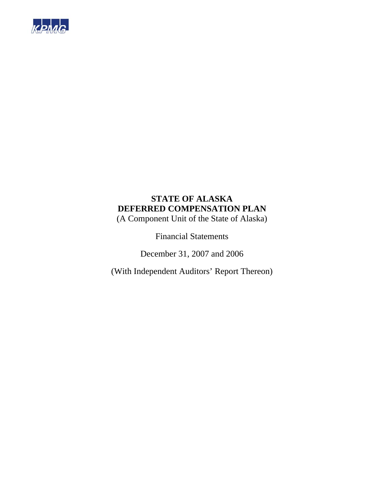

(A Component Unit of the State of Alaska)

Financial Statements

December 31, 2007 and 2006

(With Independent Auditors' Report Thereon)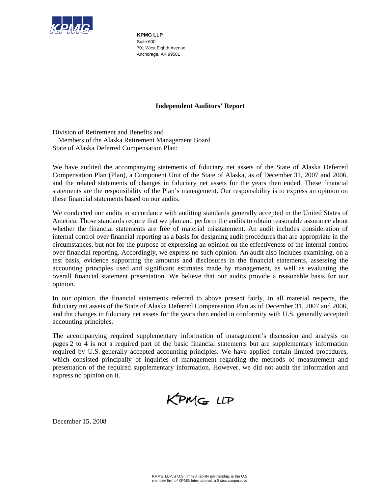

**KPMG LLP**  Suite 600 701 West Eighth Avenue Anchorage, AK 99501

### **Independent Auditors' Report**

Division of Retirement and Benefits and Members of the Alaska Retirement Management Board State of Alaska Deferred Compensation Plan:

We have audited the accompanying statements of fiduciary net assets of the State of Alaska Deferred Compensation Plan (Plan), a Component Unit of the State of Alaska, as of December 31, 2007 and 2006, and the related statements of changes in fiduciary net assets for the years then ended. These financial statements are the responsibility of the Plan's management. Our responsibility is to express an opinion on these financial statements based on our audits.

We conducted our audits in accordance with auditing standards generally accepted in the United States of America. Those standards require that we plan and perform the audits to obtain reasonable assurance about whether the financial statements are free of material misstatement. An audit includes consideration of internal control over financial reporting as a basis for designing audit procedures that are appropriate in the circumstances, but not for the purpose of expressing an opinion on the effectiveness of the internal control over financial reporting. Accordingly, we express no such opinion. An audit also includes examining, on a test basis, evidence supporting the amounts and disclosures in the financial statements, assessing the accounting principles used and significant estimates made by management, as well as evaluating the overall financial statement presentation. We believe that our audits provide a reasonable basis for our opinion.

In our opinion, the financial statements referred to above present fairly, in all material respects, the fiduciary net assets of the State of Alaska Deferred Compensation Plan as of December 31, 2007 and 2006, and the changes in fiduciary net assets for the years then ended in conformity with U.S. generally accepted accounting principles.

The accompanying required supplementary information of management's discussion and analysis on pages 2 to 4 is not a required part of the basic financial statements but are supplementary information required by U.S. generally accepted accounting principles. We have applied certain limited procedures, which consisted principally of inquiries of management regarding the methods of measurement and presentation of the required supplementary information. However, we did not audit the information and express no opinion on it.



December 15, 2008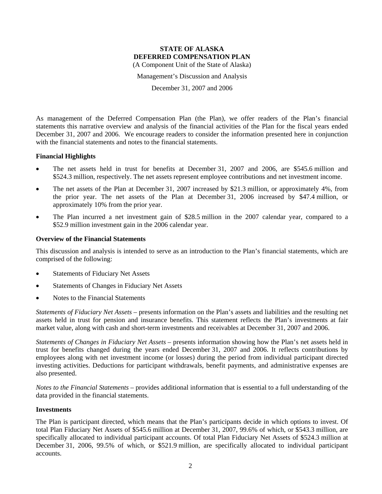Management's Discussion and Analysis

December 31, 2007 and 2006

As management of the Deferred Compensation Plan (the Plan), we offer readers of the Plan's financial statements this narrative overview and analysis of the financial activities of the Plan for the fiscal years ended December 31, 2007 and 2006. We encourage readers to consider the information presented here in conjunction with the financial statements and notes to the financial statements.

### **Financial Highlights**

- The net assets held in trust for benefits at December 31, 2007 and 2006, are \$545.6 million and \$524.3 million, respectively. The net assets represent employee contributions and net investment income.
- The net assets of the Plan at December 31, 2007 increased by \$21.3 million, or approximately 4%, from the prior year. The net assets of the Plan at December 31, 2006 increased by \$47.4 million, or approximately 10% from the prior year.
- The Plan incurred a net investment gain of \$28.5 million in the 2007 calendar year, compared to a \$52.9 million investment gain in the 2006 calendar year.

### **Overview of the Financial Statements**

This discussion and analysis is intended to serve as an introduction to the Plan's financial statements, which are comprised of the following:

- Statements of Fiduciary Net Assets
- Statements of Changes in Fiduciary Net Assets
- Notes to the Financial Statements

*Statements of Fiduciary Net Assets* – presents information on the Plan's assets and liabilities and the resulting net assets held in trust for pension and insurance benefits. This statement reflects the Plan's investments at fair market value, along with cash and short-term investments and receivables at December 31, 2007 and 2006.

*Statements of Changes in Fiduciary Net Assets* – presents information showing how the Plan's net assets held in trust for benefits changed during the years ended December 31, 2007 and 2006. It reflects contributions by employees along with net investment income (or losses) during the period from individual participant directed investing activities. Deductions for participant withdrawals, benefit payments, and administrative expenses are also presented.

*Notes to the Financial Statements* – provides additional information that is essential to a full understanding of the data provided in the financial statements.

#### **Investments**

The Plan is participant directed, which means that the Plan's participants decide in which options to invest. Of total Plan Fiduciary Net Assets of \$545.6 million at December 31, 2007, 99.6% of which, or \$543.3 million, are specifically allocated to individual participant accounts. Of total Plan Fiduciary Net Assets of \$524.3 million at December 31, 2006, 99.5% of which, or \$521.9 million, are specifically allocated to individual participant accounts.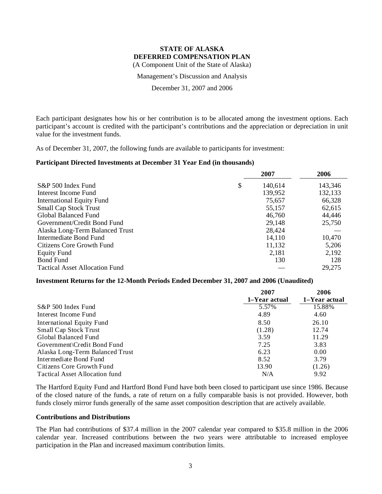Management's Discussion and Analysis

December 31, 2007 and 2006

Each participant designates how his or her contribution is to be allocated among the investment options. Each participant's account is credited with the participant's contributions and the appreciation or depreciation in unit value for the investment funds.

As of December 31, 2007, the following funds are available to participants for investment:

### **Participant Directed Investments at December 31 Year End (in thousands)**

|                                       | 2007          | 2006    |
|---------------------------------------|---------------|---------|
| S&P 500 Index Fund                    | \$<br>140,614 | 143,346 |
| Interest Income Fund                  | 139,952       | 132,133 |
| <b>International Equity Fund</b>      | 75,657        | 66,328  |
| <b>Small Cap Stock Trust</b>          | 55,157        | 62,615  |
| Global Balanced Fund                  | 46,760        | 44,446  |
| Government/Credit Bond Fund           | 29,148        | 25,750  |
| Alaska Long-Term Balanced Trust       | 28,424        |         |
| Intermediate Bond Fund                | 14,110        | 10,470  |
| Citizens Core Growth Fund             | 11,132        | 5,206   |
| <b>Equity Fund</b>                    | 2,181         | 2,192   |
| <b>Bond Fund</b>                      | 130           | 128     |
| <b>Tactical Asset Allocation Fund</b> |               | 29,275  |

#### **Investment Returns for the 12-Month Periods Ended December 31, 2007 and 2006 (Unaudited)**

|                                 | 2007          | 2006          |
|---------------------------------|---------------|---------------|
|                                 | 1-Year actual | 1–Year actual |
| S&P 500 Index Fund              | 5.57%         | 15.88%        |
| Interest Income Fund            | 4.89          | 4.60          |
| International Equity Fund       | 8.50          | 26.10         |
| <b>Small Cap Stock Trust</b>    | (1.28)        | 12.74         |
| Global Balanced Fund            | 3.59          | 11.29         |
| Government\Credit Bond Fund     | 7.25          | 3.83          |
| Alaska Long-Term Balanced Trust | 6.23          | 0.00          |
| Intermediate Bond Fund          | 8.52          | 3.79          |
| Citizens Core Growth Fund       | 13.90         | (1.26)        |
| Tactical Asset Allocation fund  | N/A           | 9.92          |

The Hartford Equity Fund and Hartford Bond Fund have both been closed to participant use since 1986. Because of the closed nature of the funds, a rate of return on a fully comparable basis is not provided. However, both funds closely mirror funds generally of the same asset composition description that are actively available.

#### **Contributions and Distributions**

The Plan had contributions of \$37.4 million in the 2007 calendar year compared to \$35.8 million in the 2006 calendar year. Increased contributions between the two years were attributable to increased employee participation in the Plan and increased maximum contribution limits.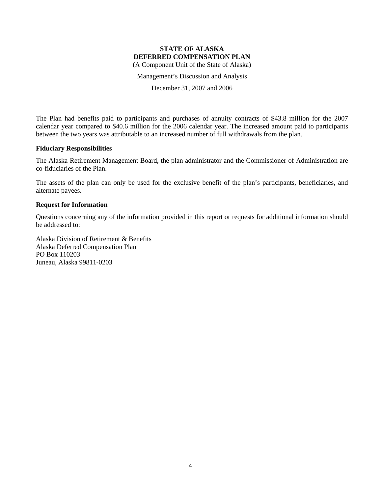Management's Discussion and Analysis

December 31, 2007 and 2006

The Plan had benefits paid to participants and purchases of annuity contracts of \$43.8 million for the 2007 calendar year compared to \$40.6 million for the 2006 calendar year. The increased amount paid to participants between the two years was attributable to an increased number of full withdrawals from the plan.

### **Fiduciary Responsibilities**

The Alaska Retirement Management Board, the plan administrator and the Commissioner of Administration are co-fiduciaries of the Plan.

The assets of the plan can only be used for the exclusive benefit of the plan's participants, beneficiaries, and alternate payees.

### **Request for Information**

Questions concerning any of the information provided in this report or requests for additional information should be addressed to:

Alaska Division of Retirement & Benefits Alaska Deferred Compensation Plan PO Box 110203 Juneau, Alaska 99811-0203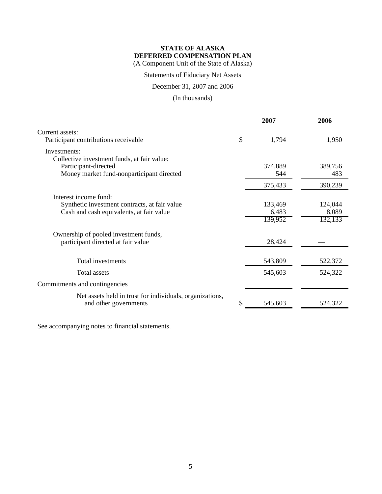Statements of Fiduciary Net Assets

December 31, 2007 and 2006

(In thousands)

|                                                                                                                    |    | 2007                        | 2006                        |
|--------------------------------------------------------------------------------------------------------------------|----|-----------------------------|-----------------------------|
| Current assets:<br>Participant contributions receivable                                                            | \$ | 1,794                       | 1,950                       |
| Investments:<br>Collective investment funds, at fair value:                                                        |    |                             |                             |
| Participant-directed<br>Money market fund-nonparticipant directed                                                  |    | 374,889<br>544              | 389,756<br>483              |
|                                                                                                                    |    | 375,433                     | 390,239                     |
| Interest income fund:<br>Synthetic investment contracts, at fair value<br>Cash and cash equivalents, at fair value |    | 133,469<br>6,483<br>139,952 | 124,044<br>8,089<br>132,133 |
| Ownership of pooled investment funds,<br>participant directed at fair value                                        |    | 28,424                      |                             |
| Total investments                                                                                                  |    | 543,809                     | 522,372                     |
| <b>Total assets</b>                                                                                                |    | 545,603                     | 524,322                     |
| Commitments and contingencies                                                                                      |    |                             |                             |
| Net assets held in trust for individuals, organizations,<br>and other governments                                  | S. | 545,603                     | 524,322                     |

See accompanying notes to financial statements.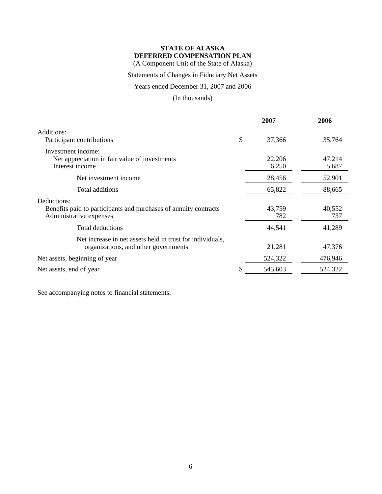(A Component Unit of the State of Alaska)

### Statements of Changes in Fiduciary Net Assets

Years ended December 31, 2007 and 2006

(In thousands)

|                                                                                                            | 2007            | 2006            |
|------------------------------------------------------------------------------------------------------------|-----------------|-----------------|
| Additions:<br>Participant contributions                                                                    | \$<br>37,366    | 35,764          |
| Investment income:<br>Net appreciation in fair value of investments<br>Interest income                     | 22,206<br>6,250 | 47,214<br>5,687 |
| Net investment income                                                                                      | 28,456          | 52,901          |
| Total additions                                                                                            | 65,822          | 88,665          |
| Deductions:<br>Benefits paid to participants and purchases of annuity contracts<br>Administrative expenses | 43,759<br>782   | 40,552<br>737   |
| Total deductions                                                                                           | 44,541          | 41,289          |
| Net increase in net assets held in trust for individuals,<br>organizations, and other governments          | 21,281          | 47,376          |
| Net assets, beginning of year                                                                              | 524,322         | 476,946         |
| Net assets, end of year                                                                                    | 545,603         | 524,322         |
|                                                                                                            |                 |                 |

See accompanying notes to financial statements.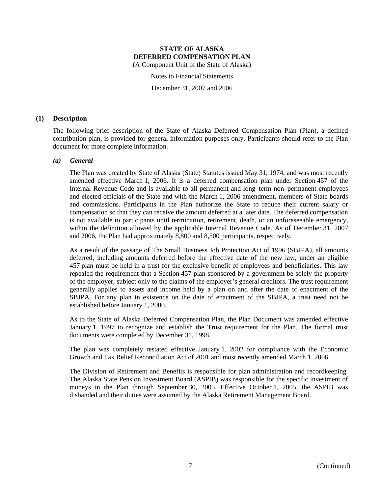(A Component Unit of the State of Alaska)

Notes to Financial Statements

December 31, 2007 and 2006

### **(1) Description**

The following brief description of the State of Alaska Deferred Compensation Plan (Plan), a defined contribution plan, is provided for general information purposes only. Participants should refer to the Plan document for more complete information.

### *(a) General*

The Plan was created by State of Alaska (State) Statutes issued May 31, 1974, and was most recently amended effective March 1, 2006. It is a deferred compensation plan under Section 457 of the Internal Revenue Code and is available to all permanent and long–term non–permanent employees and elected officials of the State and with the March 1, 2006 amendment, members of State boards and commissions. Participants in the Plan authorize the State to reduce their current salary or compensation so that they can receive the amount deferred at a later date. The deferred compensation is not available to participants until termination, retirement, death, or an unforeseeable emergency, within the definition allowed by the applicable Internal Revenue Code. As of December 31, 2007 and 2006, the Plan had approximately 8,800 and 8,500 participants, respectively.

As a result of the passage of The Small Business Job Protection Act of 1996 (SBJPA), all amounts deferred, including amounts deferred before the effective date of the new law, under an eligible 457 plan must be held in a trust for the exclusive benefit of employees and beneficiaries. This law repealed the requirement that a Section 457 plan sponsored by a government be solely the property of the employer, subject only to the claims of the employer's general creditors. The trust requirement generally applies to assets and income held by a plan on and after the date of enactment of the SBJPA. For any plan in existence on the date of enactment of the SBJPA, a trust need not be established before January 1, 2000.

As to the State of Alaska Deferred Compensation Plan, the Plan Document was amended effective January 1, 1997 to recognize and establish the Trust requirement for the Plan. The formal trust documents were completed by December 31, 1998.

The plan was completely restated effective January 1, 2002 for compliance with the Economic Growth and Tax Relief Reconciliation Act of 2001 and most recently amended March 1, 2006.

The Division of Retirement and Benefits is responsible for plan administration and recordkeeping. The Alaska State Pension Investment Board (ASPIB) was responsible for the specific investment of moneys in the Plan through September 30, 2005. Effective October 1, 2005, the ASPIB was disbanded and their duties were assumed by the Alaska Retirement Management Board.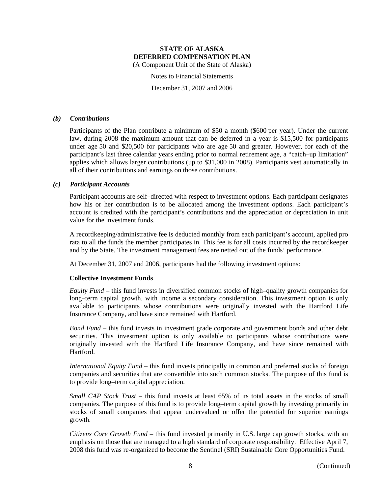Notes to Financial Statements

December 31, 2007 and 2006

#### *(b) Contributions*

Participants of the Plan contribute a minimum of \$50 a month (\$600 per year). Under the current law, during 2008 the maximum amount that can be deferred in a year is \$15,500 for participants under age 50 and \$20,500 for participants who are age 50 and greater. However, for each of the participant's last three calendar years ending prior to normal retirement age, a "catch–up limitation" applies which allows larger contributions (up to \$31,000 in 2008). Participants vest automatically in all of their contributions and earnings on those contributions.

### *(c) Participant Accounts*

Participant accounts are self–directed with respect to investment options. Each participant designates how his or her contribution is to be allocated among the investment options. Each participant's account is credited with the participant's contributions and the appreciation or depreciation in unit value for the investment funds.

A recordkeeping/administrative fee is deducted monthly from each participant's account, applied pro rata to all the funds the member participates in. This fee is for all costs incurred by the recordkeeper and by the State. The investment management fees are netted out of the funds' performance.

At December 31, 2007 and 2006, participants had the following investment options:

### **Collective Investment Funds**

*Equity Fund* – this fund invests in diversified common stocks of high–quality growth companies for long–term capital growth, with income a secondary consideration. This investment option is only available to participants whose contributions were originally invested with the Hartford Life Insurance Company, and have since remained with Hartford.

*Bond Fund* – this fund invests in investment grade corporate and government bonds and other debt securities. This investment option is only available to participants whose contributions were originally invested with the Hartford Life Insurance Company, and have since remained with Hartford.

*International Equity Fund* – this fund invests principally in common and preferred stocks of foreign companies and securities that are convertible into such common stocks. The purpose of this fund is to provide long–term capital appreciation.

*Small CAP Stock Trust* – this fund invests at least 65% of its total assets in the stocks of small companies. The purpose of this fund is to provide long–term capital growth by investing primarily in stocks of small companies that appear undervalued or offer the potential for superior earnings growth.

*Citizens Core Growth Fund* – this fund invested primarily in U.S. large cap growth stocks, with an emphasis on those that are managed to a high standard of corporate responsibility. Effective April 7, 2008 this fund was re-organized to become the Sentinel (SRI) Sustainable Core Opportunities Fund.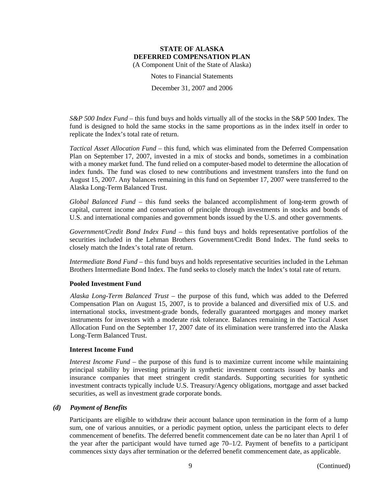Notes to Financial Statements

December 31, 2007 and 2006

*S&P 500 Index Fund* – this fund buys and holds virtually all of the stocks in the S&P 500 Index. The fund is designed to hold the same stocks in the same proportions as in the index itself in order to replicate the Index's total rate of return.

*Tactical Asset Allocation Fund* – this fund, which was eliminated from the Deferred Compensation Plan on September 17, 2007, invested in a mix of stocks and bonds, sometimes in a combination with a money market fund. The fund relied on a computer-based model to determine the allocation of index funds. The fund was closed to new contributions and investment transfers into the fund on August 15, 2007. Any balances remaining in this fund on September 17, 2007 were transferred to the Alaska Long-Term Balanced Trust.

*Global Balanced Fund* – this fund seeks the balanced accomplishment of long-term growth of capital, current income and conservation of principle through investments in stocks and bonds of U.S. and international companies and government bonds issued by the U.S. and other governments.

*Government/Credit Bond Index Fund* – this fund buys and holds representative portfolios of the securities included in the Lehman Brothers Government/Credit Bond Index. The fund seeks to closely match the Index's total rate of return.

*Intermediate Bond Fund* – this fund buys and holds representative securities included in the Lehman Brothers Intermediate Bond Index. The fund seeks to closely match the Index's total rate of return.

### **Pooled Investment Fund**

*Alaska Long-Term Balanced Trust* – the purpose of this fund, which was added to the Deferred Compensation Plan on August 15, 2007, is to provide a balanced and diversified mix of U.S. and international stocks, investment-grade bonds, federally guaranteed mortgages and money market instruments for investors with a moderate risk tolerance. Balances remaining in the Tactical Asset Allocation Fund on the September 17, 2007 date of its elimination were transferred into the Alaska Long-Term Balanced Trust.

### **Interest Income Fund**

*Interest Income Fund* – the purpose of this fund is to maximize current income while maintaining principal stability by investing primarily in synthetic investment contracts issued by banks and insurance companies that meet stringent credit standards. Supporting securities for synthetic investment contracts typically include U.S. Treasury/Agency obligations, mortgage and asset backed securities, as well as investment grade corporate bonds.

#### *(d) Payment of Benefits*

Participants are eligible to withdraw their account balance upon termination in the form of a lump sum, one of various annuities, or a periodic payment option, unless the participant elects to defer commencement of benefits. The deferred benefit commencement date can be no later than April 1 of the year after the participant would have turned age 70–1/2. Payment of benefits to a participant commences sixty days after termination or the deferred benefit commencement date, as applicable.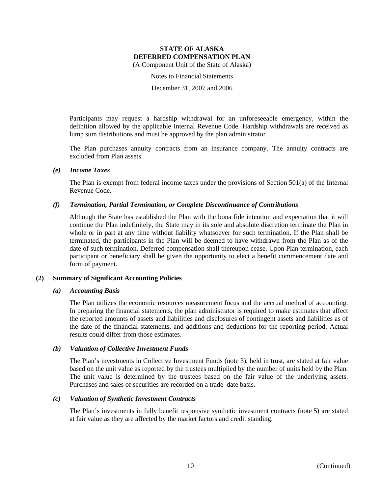Notes to Financial Statements

December 31, 2007 and 2006

Participants may request a hardship withdrawal for an unforeseeable emergency, within the definition allowed by the applicable Internal Revenue Code. Hardship withdrawals are received as lump sum distributions and must be approved by the plan administrator.

The Plan purchases annuity contracts from an insurance company. The annuity contracts are excluded from Plan assets.

### *(e) Income Taxes*

The Plan is exempt from federal income taxes under the provisions of Section  $501(a)$  of the Internal Revenue Code.

### *(f) Termination, Partial Termination, or Complete Discontinuance of Contributions*

Although the State has established the Plan with the bona fide intention and expectation that it will continue the Plan indefinitely, the State may in its sole and absolute discretion terminate the Plan in whole or in part at any time without liability whatsoever for such termination. If the Plan shall be terminated, the participants in the Plan will be deemed to have withdrawn from the Plan as of the date of such termination. Deferred compensation shall thereupon cease. Upon Plan termination, each participant or beneficiary shall be given the opportunity to elect a benefit commencement date and form of payment.

### **(2) Summary of Significant Accounting Policies**

#### *(a) Accounting Basis*

The Plan utilizes the economic resources measurement focus and the accrual method of accounting. In preparing the financial statements, the plan administrator is required to make estimates that affect the reported amounts of assets and liabilities and disclosures of contingent assets and liabilities as of the date of the financial statements, and additions and deductions for the reporting period. Actual results could differ from those estimates.

### *(b) Valuation of Collective Investment Funds*

The Plan's investments in Collective Investment Funds (note 3), held in trust, are stated at fair value based on the unit value as reported by the trustees multiplied by the number of units held by the Plan. The unit value is determined by the trustees based on the fair value of the underlying assets. Purchases and sales of securities are recorded on a trade–date basis.

#### *(c) Valuation of Synthetic Investment Contracts*

The Plan's investments in fully benefit responsive synthetic investment contracts (note 5) are stated at fair value as they are affected by the market factors and credit standing.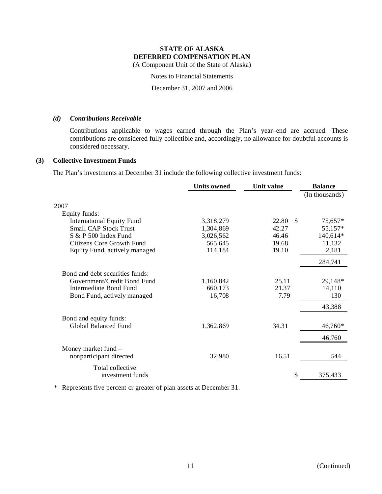(A Component Unit of the State of Alaska)

Notes to Financial Statements

December 31, 2007 and 2006

### *(d) Contributions Receivable*

Contributions applicable to wages earned through the Plan's year–end are accrued. These contributions are considered fully collectible and, accordingly, no allowance for doubtful accounts is considered necessary.

### **(3) Collective Investment Funds**

The Plan's investments at December 31 include the following collective investment funds:

|                                  | <b>Units owned</b> | Unit value  | <b>Balance</b> |
|----------------------------------|--------------------|-------------|----------------|
|                                  |                    |             | (In thousands) |
| 2007                             |                    |             |                |
| Equity funds:                    |                    |             |                |
| <b>International Equity Fund</b> | 3,318,279          | 22.80<br>-S | 75,657*        |
| <b>Small CAP Stock Trust</b>     | 1,304,869          | 42.27       | 55,157*        |
| S & P 500 Index Fund             | 3,026,562          | 46.46       | 140,614*       |
| Citizens Core Growth Fund        | 565,645            | 19.68       | 11,132         |
| Equity Fund, actively managed    | 114,184            | 19.10       | 2,181          |
|                                  |                    |             | 284,741        |
| Bond and debt securities funds:  |                    |             |                |
| Government/Credit Bond Fund      | 1,160,842          | 25.11       | 29,148*        |
| Intermediate Bond Fund           | 660,173            | 21.37       | 14,110         |
| Bond Fund, actively managed      | 16,708             | 7.79        | 130            |
|                                  |                    |             | 43,388         |
| Bond and equity funds:           |                    |             |                |
| Global Balanced Fund             | 1,362,869          | 34.31       | 46,760*        |
|                                  |                    |             | 46,760         |
| Money market fund –              |                    |             |                |
| nonparticipant directed          | 32,980             | 16.51       | 544            |
| Total collective                 |                    |             |                |
| investment funds                 |                    | \$          | 375,433        |

\* Represents five percent or greater of plan assets at December 31.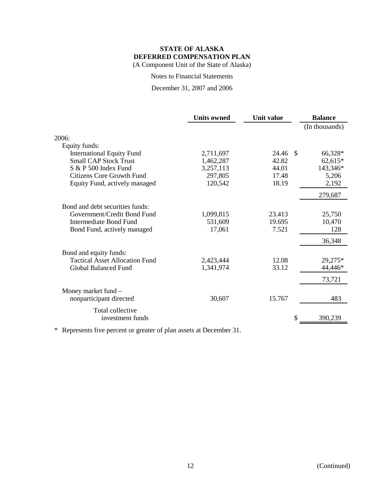Notes to Financial Statements

December 31, 2007 and 2006

|                                       | <b>Units owned</b> | Unit value | <b>Balance</b> |
|---------------------------------------|--------------------|------------|----------------|
|                                       |                    |            | (In thousands) |
| 2006:                                 |                    |            |                |
| Equity funds:                         |                    |            |                |
| <b>International Equity Fund</b>      | 2,711,697          | 24.46      | -\$<br>66,328* |
| <b>Small CAP Stock Trust</b>          | 1,462,287          | 42.82      | 62,615*        |
| S & P 500 Index Fund                  | 3,257,113          | 44.01      | 143,346*       |
| <b>Citizens Core Growth Fund</b>      | 297,805            | 17.48      | 5,206          |
| Equity Fund, actively managed         | 120,542            | 18.19      | 2,192          |
|                                       |                    |            | 279,687        |
| Bond and debt securities funds:       |                    |            |                |
| Government/Credit Bond Fund           | 1,099,815          | 23.413     | 25,750         |
| Intermediate Bond Fund                | 531,609            | 19.695     | 10,470         |
| Bond Fund, actively managed           | 17,061             | 7.521      | 128            |
|                                       |                    |            | 36,348         |
| Bond and equity funds:                |                    |            |                |
| <b>Tactical Asset Allocation Fund</b> | 2,423,444          | 12.08      | 29,275*        |
| <b>Global Balanced Fund</b>           | 1,341,974          | 33.12      | 44,446*        |
|                                       |                    |            | 73,721         |
| Money market fund -                   |                    |            |                |
| nonparticipant directed               | 30,607             | 15.767     | 483            |
| Total collective                      |                    |            |                |
| investment funds                      |                    |            | 390,239        |
|                                       |                    |            |                |

\* Represents five percent or greater of plan assets at December 31.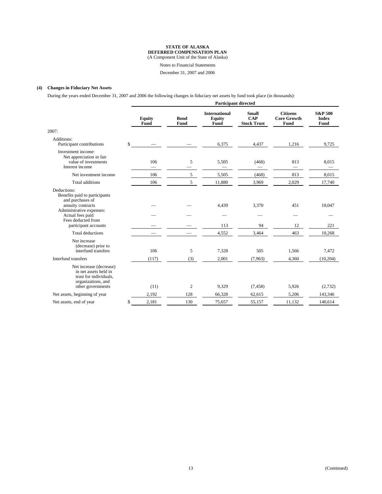(A Component Unit of the State of Alaska)

Notes to Financial Statements

December 31, 2007 and 2006

#### **(4) Changes in Fiduciary Net Assets**

During the years ended December 31, 2007 and 2006 the following changes in fiduciary net assets by fund took place (in thousands):

|                                                                                                                                                             |              | <b>Participant directed</b> |                     |                                               |                                                  |                                               |                                            |  |
|-------------------------------------------------------------------------------------------------------------------------------------------------------------|--------------|-----------------------------|---------------------|-----------------------------------------------|--------------------------------------------------|-----------------------------------------------|--------------------------------------------|--|
|                                                                                                                                                             |              | <b>Equity</b><br>Fund       | <b>Bond</b><br>Fund | <b>International</b><br><b>Equity</b><br>Fund | <b>Small</b><br><b>CAP</b><br><b>Stock Trust</b> | <b>Citizens</b><br><b>Core Growth</b><br>Fund | <b>S&amp;P 500</b><br><b>Index</b><br>Fund |  |
| 2007:                                                                                                                                                       |              |                             |                     |                                               |                                                  |                                               |                                            |  |
| Additions:<br>Participant contributions                                                                                                                     | $\mathbb{S}$ |                             |                     | 6,375                                         | 4,437                                            | 1,216                                         | 9,725                                      |  |
| Investment income:<br>Net appreciation in fair<br>value of investments<br>Interest income                                                                   |              | 106                         | 5                   | 5,505                                         | (468)                                            | 813                                           | 8,015                                      |  |
| Net investment income                                                                                                                                       |              | 106                         | 5                   | 5,505                                         | (468)                                            | 813                                           | 8,015                                      |  |
| Total additions                                                                                                                                             |              | 106                         | 5                   | 11,880                                        | 3,969                                            | 2,029                                         | 17,740                                     |  |
| Deductions:<br>Benefits paid to participants<br>and purchases of<br>annuity contracts<br>Administrative expenses:<br>Actual fees paid<br>Fees deducted from |              |                             |                     | 4,439                                         | 3,370                                            | 451                                           | 10,047                                     |  |
| participant accounts                                                                                                                                        |              |                             |                     | 113                                           | 94                                               | 12                                            | 221                                        |  |
| <b>Total deductions</b>                                                                                                                                     |              |                             |                     | 4,552                                         | 3,464                                            | 463                                           | 10,268                                     |  |
| Net increase<br>(decrease) prior to<br>interfund transfers<br>Interfund transfers                                                                           |              | 106                         | 5                   | 7,328                                         | 505                                              | 1,566                                         | 7,472                                      |  |
|                                                                                                                                                             |              | (117)                       | (3)                 | 2,001                                         | (7,963)                                          | 4,360                                         | (10,204)                                   |  |
| Net increase (decrease)<br>in net assets held in<br>trust for individuals,<br>organizations, and<br>other governments                                       |              | (11)                        | 2                   | 9,329                                         | (7, 458)                                         | 5,926                                         | (2,732)                                    |  |
| Net assets, beginning of year                                                                                                                               |              | 2,192                       | 128                 | 66,328                                        | 62,615                                           | 5,206                                         | 143,346                                    |  |
| Net assets, end of year                                                                                                                                     | \$           | 2,181                       | 130                 | 75,657                                        | 55,157                                           | 11,132                                        | 140,614                                    |  |
|                                                                                                                                                             |              |                             |                     |                                               |                                                  |                                               |                                            |  |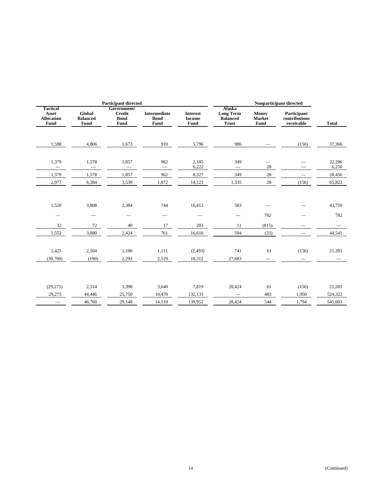|                                                |                                          | <b>Participant directed</b>                                |                                            |                                          |                                                               |                                        | Nonparticipant directed                    |                  |
|------------------------------------------------|------------------------------------------|------------------------------------------------------------|--------------------------------------------|------------------------------------------|---------------------------------------------------------------|----------------------------------------|--------------------------------------------|------------------|
| Tactical<br>Asset<br><b>Allocation</b><br>Fund | <b>Global</b><br><b>Balanced</b><br>Fund | Government/<br><b>Credit</b><br><b>Bond</b><br><b>Fund</b> | <b>Intermediate</b><br><b>Bond</b><br>Fund | <b>Interest</b><br><b>Income</b><br>Fund | Alaska<br><b>Long Term</b><br><b>Balanced</b><br><b>Trust</b> | Money<br>Market<br>Fund                | Participant<br>contributions<br>receivable | <b>Total</b>     |
| 1,598                                          | 4,806                                    | 1,673                                                      | 910                                        | 5,796                                    | 986                                                           |                                        | (156)                                      | 37,366           |
| 1,379<br>$\overline{\phantom{m}}$              | 1,578<br>$\overline{\phantom{0}}$        | 1,857<br>$\overline{\phantom{0}}$                          | 962<br>$\overline{\phantom{m}}$            | 2,105<br>6,222                           | 349                                                           | $\overline{\phantom{0}}$<br>28         |                                            | 22,206<br>6,250  |
| 1,379                                          | 1,578                                    | 1,857                                                      | 962                                        | 8,327                                    | 349                                                           | 28                                     |                                            | 28,456           |
| 2,977                                          | 6,384                                    | 3,530                                                      | 1,872                                      | 14,123                                   | 1,335                                                         | 28                                     | (156)                                      | 65,822           |
| 1,520<br>$\qquad \qquad \longleftarrow$        | 3,808<br>$\qquad \qquad \longleftarrow$  | 2,384<br>$\overbrace{\qquad \qquad }$                      | 744<br>$\qquad \qquad \longleftarrow$      | 16,413<br>$\overbrace{\qquad \qquad }$   | 583<br>$\overline{\phantom{0}}$                               | 782                                    | $\sim$                                     | 43,759<br>782    |
| 32                                             | 72                                       | 40                                                         | 17                                         | 203                                      | 11                                                            | (815)                                  |                                            |                  |
| 1,552<br>1,425<br>(30,700)                     | 3,880<br>2,504<br>(190)                  | 2,424<br>1,106<br>2,292                                    | 761<br>1,111<br>2,529                      | 16,616<br>(2, 493)<br>10,312             | 594<br>741<br>27,683                                          | (33)<br>61<br>$\overline{\phantom{0}}$ | (156)                                      | 44,541<br>21,281 |
| (29, 275)                                      | 2,314                                    | 3,398                                                      | 3,640                                      | 7,819                                    | 28,424                                                        | 61                                     | (156)                                      | 21,281           |
| 29,275                                         | 44,446                                   | 25,750                                                     | 10,470                                     | 132,133                                  | $\equiv$                                                      | 483                                    | 1,950                                      | 524,322          |
|                                                | 46,760                                   | 29,148                                                     | 14,110                                     | 139,952                                  | 28,424                                                        | 544                                    | 1,794                                      | 545,603          |
| $\overline{\phantom{m}}$                       |                                          |                                                            |                                            |                                          |                                                               |                                        |                                            |                  |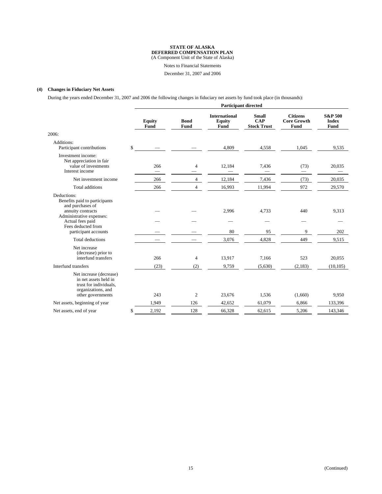(A Component Unit of the State of Alaska)

Notes to Financial Statements

December 31, 2007 and 2006

#### **(4) Changes in Fiduciary Net Assets**

During the years ended December 31, 2007 and 2006 the following changes in fiduciary net assets by fund took place (in thousands):

|                                                                                                                       |              | <b>Participant directed</b> |                     |                                               |                                                  |                                               |                                            |  |  |
|-----------------------------------------------------------------------------------------------------------------------|--------------|-----------------------------|---------------------|-----------------------------------------------|--------------------------------------------------|-----------------------------------------------|--------------------------------------------|--|--|
|                                                                                                                       |              | <b>Equity</b><br>Fund       | <b>Bond</b><br>Fund | <b>International</b><br><b>Equity</b><br>Fund | <b>Small</b><br><b>CAP</b><br><b>Stock Trust</b> | <b>Citizens</b><br><b>Core Growth</b><br>Fund | <b>S&amp;P 500</b><br><b>Index</b><br>Fund |  |  |
| 2006:                                                                                                                 |              |                             |                     |                                               |                                                  |                                               |                                            |  |  |
| Additions:<br>Participant contributions                                                                               | $\mathbb{S}$ |                             |                     | 4,809                                         | 4,558                                            | 1,045                                         | 9,535                                      |  |  |
| Investment income:<br>Net appreciation in fair<br>value of investments<br>Interest income                             |              | 266                         | 4                   | 12,184                                        | 7,436                                            | (73)                                          | 20,035                                     |  |  |
| Net investment income                                                                                                 |              | 266                         | $\overline{4}$      | 12,184                                        | 7,436                                            | (73)                                          | 20,035                                     |  |  |
| <b>Total additions</b>                                                                                                |              | 266                         | $\overline{4}$      | 16,993                                        | 11,994                                           | 972                                           | 29,570                                     |  |  |
| Deductions:<br>Benefits paid to participants<br>and purchases of<br>annuity contracts                                 |              |                             |                     | 2,996                                         | 4,733                                            | 440                                           | 9,313                                      |  |  |
| Administrative expenses:<br>Actual fees paid<br>Fees deducted from                                                    |              |                             |                     |                                               |                                                  |                                               |                                            |  |  |
| participant accounts                                                                                                  |              |                             |                     | 80                                            | 95                                               | 9                                             | 202                                        |  |  |
| Total deductions                                                                                                      |              |                             |                     | 3,076                                         | 4,828                                            | 449                                           | 9,515                                      |  |  |
| Net increase<br>(decrease) prior to<br>interfund transfers                                                            |              | 266                         | $\overline{4}$      | 13,917                                        | 7,166                                            | 523                                           | 20,055                                     |  |  |
| Interfund transfers                                                                                                   |              | (23)                        | (2)                 | 9,759                                         | (5,630)                                          | (2,183)                                       | (10, 105)                                  |  |  |
| Net increase (decrease)<br>in net assets held in<br>trust for individuals,<br>organizations, and<br>other governments |              | 243                         | 2                   | 23,676                                        | 1,536                                            | (1,660)                                       | 9,950                                      |  |  |
| Net assets, beginning of year                                                                                         |              | 1,949                       | 126                 | 42,652                                        | 61,079                                           | 6,866                                         | 133,396                                    |  |  |
| Net assets, end of year                                                                                               | \$           | 2,192                       | 128                 | 66,328                                        | 62,615                                           | 5,206                                         | 143,346                                    |  |  |
|                                                                                                                       |              |                             |                     |                                               |                                                  |                                               |                                            |  |  |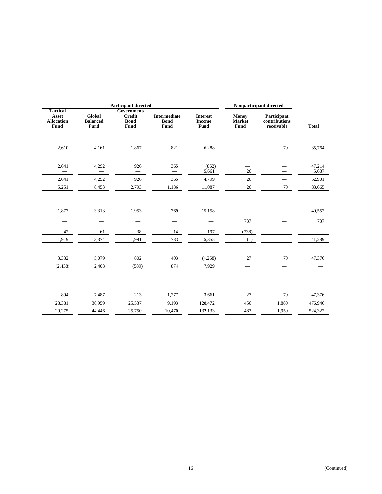|                                                       | <b>Participant directed</b>       |                                                            |                                            |                                          |                                | Nonparticipant directed                    |                   |  |  |
|-------------------------------------------------------|-----------------------------------|------------------------------------------------------------|--------------------------------------------|------------------------------------------|--------------------------------|--------------------------------------------|-------------------|--|--|
| <b>Tactical</b><br>Asset<br><b>Allocation</b><br>Fund | Global<br><b>Balanced</b><br>Fund | Government/<br><b>Credit</b><br><b>Bond</b><br><b>Fund</b> | <b>Intermediate</b><br><b>Bond</b><br>Fund | <b>Interest</b><br><b>Income</b><br>Fund | <b>Money</b><br>Market<br>Fund | Participant<br>contributions<br>receivable | <b>Total</b>      |  |  |
| 2,610                                                 | 4,161                             | 1,867                                                      | 821                                        | 6,288                                    |                                | 70                                         | 35,764            |  |  |
| 2,641                                                 | 4,292<br>$\qquad \qquad$          | 926<br>$\qquad \qquad -$                                   | 365<br>$\overline{\phantom{m}}$            | (862)<br>5,661                           | 26                             |                                            | 47,214<br>5,687   |  |  |
| 2,641                                                 | 4,292                             | 926                                                        | 365                                        | 4,799                                    | $26\,$                         |                                            | 52,901            |  |  |
| 5,251                                                 | 8,453                             | 2,793                                                      | 1,186                                      | 11,087                                   | 26                             | 70                                         | 88,665            |  |  |
| 1,877                                                 | 3,313                             | 1,953                                                      | 769                                        | 15,158                                   |                                |                                            | 40,552            |  |  |
|                                                       |                                   |                                                            | $\overline{\phantom{0}}$                   |                                          | 737                            |                                            | 737               |  |  |
| 42                                                    | 61                                | 38                                                         | 14                                         | 197                                      | (738)                          |                                            |                   |  |  |
| 1,919                                                 | 3,374                             | 1,991                                                      | 783                                        | 15,355                                   | (1)                            |                                            | 41,289            |  |  |
| 3,332<br>(2, 438)                                     | 5,079<br>2,408                    | 802<br>(589)                                               | 403<br>874                                 | (4,268)<br>7,929                         | 27                             | 70                                         | 47,376            |  |  |
| 894<br>28,381                                         | 7,487<br>36,959                   | 213<br>25,537                                              | 1,277<br>9,193                             | 3,661<br>128,472                         | 27<br>456<br>483               | 70<br>1,880                                | 47,376<br>476,946 |  |  |
| 29,275                                                | 44,446                            | 25,750                                                     | 10,470                                     | 132,133                                  |                                | 1,950                                      | 524,322           |  |  |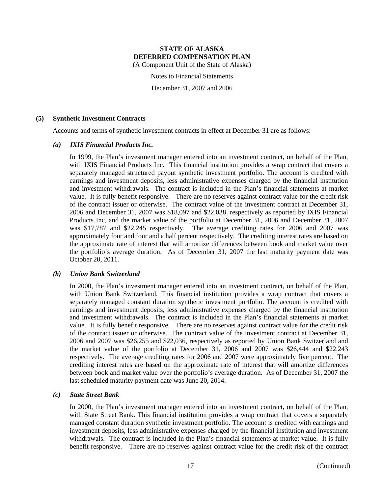(A Component Unit of the State of Alaska)

Notes to Financial Statements

December 31, 2007 and 2006

#### **(5) Synthetic Investment Contracts**

Accounts and terms of synthetic investment contracts in effect at December 31 are as follows:

### *(a) IXIS Financial Products Inc.*

In 1999, the Plan's investment manager entered into an investment contract, on behalf of the Plan, with IXIS Financial Products Inc. This financial institution provides a wrap contract that covers a separately managed structured payout synthetic investment portfolio. The account is credited with earnings and investment deposits, less administrative expenses charged by the financial institution and investment withdrawals. The contract is included in the Plan's financial statements at market value. It is fully benefit responsive. There are no reserves against contract value for the credit risk of the contract issuer or otherwise. The contract value of the investment contract at December 31, 2006 and December 31, 2007 was \$18,097 and \$22,038, respectively as reported by IXIS Financial Products Inc, and the market value of the portfolio at December 31, 2006 and December 31, 2007 was \$17,787 and \$22,245 respectively. The average crediting rates for 2006 and 2007 was approximately four and four and a half percent respectively. The crediting interest rates are based on the approximate rate of interest that will amortize differences between book and market value over the portfolio's average duration. As of December 31, 2007 the last maturity payment date was October 20, 2011.

### *(b) Union Bank Switzerland*

In 2000, the Plan's investment manager entered into an investment contract, on behalf of the Plan, with Union Bank Switzerland. This financial institution provides a wrap contract that covers a separately managed constant duration synthetic investment portfolio. The account is credited with earnings and investment deposits, less administrative expenses charged by the financial institution and investment withdrawals. The contract is included in the Plan's financial statements at market value. It is fully benefit responsive. There are no reserves against contract value for the credit risk of the contract issuer or otherwise. The contract value of the investment contract at December 31, 2006 and 2007 was \$26,255 and \$22,036, respectively as reported by Union Bank Switzerland and the market value of the portfolio at December 31, 2006 and 2007 was \$26,444 and \$22,243 respectively. The average crediting rates for 2006 and 2007 were approximately five percent. The crediting interest rates are based on the approximate rate of interest that will amortize differences between book and market value over the portfolio's average duration. As of December 31, 2007 the last scheduled maturity payment date was June 20, 2014.

### *(c) State Street Bank*

In 2000, the Plan's investment manager entered into an investment contract, on behalf of the Plan, with State Street Bank. This financial institution provides a wrap contract that covers a separately managed constant duration synthetic investment portfolio. The account is credited with earnings and investment deposits, less administrative expenses charged by the financial institution and investment withdrawals. The contract is included in the Plan's financial statements at market value. It is fully benefit responsive. There are no reserves against contract value for the credit risk of the contract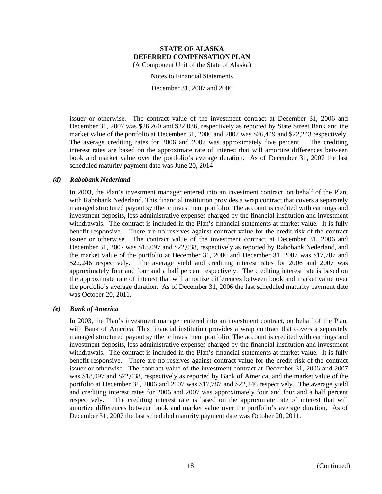Notes to Financial Statements

December 31, 2007 and 2006

issuer or otherwise. The contract value of the investment contract at December 31, 2006 and December 31, 2007 was \$26,260 and \$22,036, respectively as reported by State Street Bank and the market value of the portfolio at December 31, 2006 and 2007 was \$26,449 and \$22,243 respectively. The average crediting rates for 2006 and 2007 was approximately five percent. The crediting interest rates are based on the approximate rate of interest that will amortize differences between book and market value over the portfolio's average duration. As of December 31, 2007 the last scheduled maturity payment date was June 20, 2014

### *(d) Rabobank Nederland*

In 2003, the Plan's investment manager entered into an investment contract, on behalf of the Plan, with Rabobank Nederland. This financial institution provides a wrap contract that covers a separately managed structured payout synthetic investment portfolio. The account is credited with earnings and investment deposits, less administrative expenses charged by the financial institution and investment withdrawals. The contract is included in the Plan's financial statements at market value. It is fully benefit responsive. There are no reserves against contract value for the credit risk of the contract issuer or otherwise. The contract value of the investment contract at December 31, 2006 and December 31, 2007 was \$18,097 and \$22,038, respectively as reported by Rabobank Nederland, and the market value of the portfolio at December 31, 2006 and December 31, 2007 was \$17,787 and \$22,246 respectively. The average yield and crediting interest rates for 2006 and 2007 was approximately four and four and a half percent respectively. The crediting interest rate is based on the approximate rate of interest that will amortize differences between book and market value over the portfolio's average duration. As of December 31, 2006 the last scheduled maturity payment date was October 20, 2011.

### *(e) Bank of America*

In 2003, the Plan's investment manager entered into an investment contract, on behalf of the Plan, with Bank of America. This financial institution provides a wrap contract that covers a separately managed structured payout synthetic investment portfolio. The account is credited with earnings and investment deposits, less administrative expenses charged by the financial institution and investment withdrawals. The contract is included in the Plan's financial statements at market value. It is fully benefit responsive. There are no reserves against contract value for the credit risk of the contract issuer or otherwise. The contract value of the investment contract at December 31, 2006 and 2007 was \$18,097 and \$22,038, respectively as reported by Bank of America, and the market value of the portfolio at December 31, 2006 and 2007 was \$17,787 and \$22,246 respectively. The average yield and crediting interest rates for 2006 and 2007 was approximately four and four and a half percent respectively. The crediting interest rate is based on the approximate rate of interest that will amortize differences between book and market value over the portfolio's average duration. As of December 31, 2007 the last scheduled maturity payment date was October 20, 2011.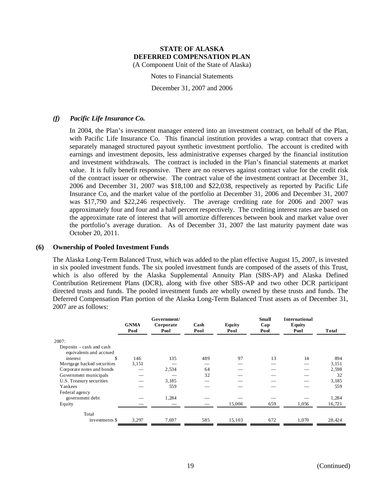Notes to Financial Statements

December 31, 2007 and 2006

### *(f) Pacific Life Insurance Co.*

In 2004, the Plan's investment manager entered into an investment contract, on behalf of the Plan, with Pacific Life Insurance Co. This financial institution provides a wrap contract that covers a separately managed structured payout synthetic investment portfolio. The account is credited with earnings and investment deposits, less administrative expenses charged by the financial institution and investment withdrawals. The contract is included in the Plan's financial statements at market value. It is fully benefit responsive. There are no reserves against contract value for the credit risk of the contract issuer or otherwise. The contract value of the investment contract at December 31, 2006 and December 31, 2007 was \$18,100 and \$22,038, respectively as reported by Pacific Life Insurance Co, and the market value of the portfolio at December 31, 2006 and December 31, 2007 was \$17,790 and \$22,246 respectively. The average crediting rate for 2006 and 2007 was approximately four and four and a half percent respectively. The crediting interest rates are based on the approximate rate of interest that will amortize differences between book and market value over the portfolio's average duration. As of December 31, 2007 the last maturity payment date was October 20, 2011.

#### **(6) Ownership of Pooled Investment Funds**

The Alaska Long-Term Balanced Trust, which was added to the plan effective August 15, 2007, is invested in six pooled investment funds. The six pooled investment funds are composed of the assets of this Trust, which is also offered by the Alaska Supplemental Annuity Plan (SBS-AP) and Alaska Defined Contribution Retirement Plans (DCR), along with five other SBS-AP and two other DCR participant directed trusts and funds. The pooled investment funds are wholly owned by these trusts and funds. The Deferred Compensation Plan portion of the Alaska Long-Term Balanced Trust assets as of December 31, 2007 are as follows:

|                                                       | <b>GNMA</b><br>Pool | Government/<br>Corporate<br>Pool | Cash<br>Pool | Equity<br>Pool | <b>Small</b><br>Cap<br>Pool | <b>International</b><br>Equity<br>Pool | Total  |
|-------------------------------------------------------|---------------------|----------------------------------|--------------|----------------|-----------------------------|----------------------------------------|--------|
| 2007:                                                 |                     |                                  |              |                |                             |                                        |        |
| Deposits $-\cosh$ and cash<br>equivalents and accrued |                     |                                  |              |                |                             |                                        |        |
| interest<br>\$                                        | 146                 | 135                              | 489          | 97             | 13                          | 14                                     | 894    |
| Mortgage backed securities                            | 3,151               |                                  |              |                |                             |                                        | 3,151  |
| Corporate notes and bonds                             |                     | 2,534                            | 64           |                |                             |                                        | 2,598  |
| Government municipals                                 |                     |                                  | 32           |                |                             |                                        | 32     |
| U.S. Treasury securities                              |                     | 3,185                            |              |                |                             |                                        | 3,185  |
| Yankees                                               |                     | 559                              |              |                |                             |                                        | 559    |
| Federal agency                                        |                     |                                  |              |                |                             |                                        |        |
| government debt                                       |                     | 1,284                            |              |                |                             |                                        | 1,284  |
| Equity                                                |                     |                                  |              | 15,006         | 659                         | 1,056                                  | 16,721 |
| Total                                                 |                     |                                  |              |                |                             |                                        |        |
| investments \$                                        | 3,297               | 7,697                            | 585          | 15.103         | 672                         | 1.070                                  | 28,424 |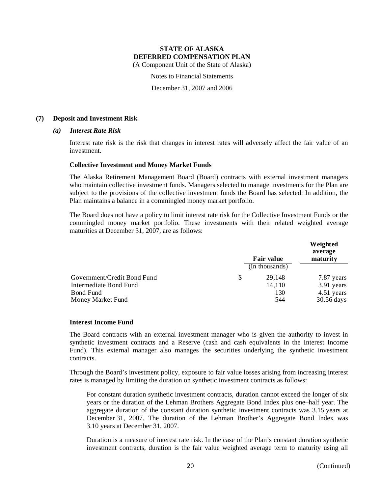(A Component Unit of the State of Alaska)

Notes to Financial Statements

December 31, 2007 and 2006

### **(7) Deposit and Investment Risk**

#### *(a) Interest Rate Risk*

Interest rate risk is the risk that changes in interest rates will adversely affect the fair value of an investment.

#### **Collective Investment and Money Market Funds**

The Alaska Retirement Management Board (Board) contracts with external investment managers who maintain collective investment funds. Managers selected to manage investments for the Plan are subject to the provisions of the collective investment funds the Board has selected. In addition, the Plan maintains a balance in a commingled money market portfolio.

The Board does not have a policy to limit interest rate risk for the Collective Investment Funds or the commingled money market portfolio. These investments with their related weighted average maturities at December 31, 2007, are as follows:

|                             |   | Fair value     | Weighted<br>average<br>maturity |
|-----------------------------|---|----------------|---------------------------------|
|                             |   | (In thousands) |                                 |
| Government/Credit Bond Fund | S | 29.148         | 7.87 years                      |
| Intermediate Bond Fund      |   | 14,110         | 3.91 years                      |
| Bond Fund                   |   | 130            | 4.51 years                      |
| Money Market Fund           |   | 544            | 30.56 days                      |

#### **Interest Income Fund**

The Board contracts with an external investment manager who is given the authority to invest in synthetic investment contracts and a Reserve (cash and cash equivalents in the Interest Income Fund). This external manager also manages the securities underlying the synthetic investment contracts.

Through the Board's investment policy, exposure to fair value losses arising from increasing interest rates is managed by limiting the duration on synthetic investment contracts as follows:

For constant duration synthetic investment contracts, duration cannot exceed the longer of six years or the duration of the Lehman Brothers Aggregate Bond Index plus one–half year. The aggregate duration of the constant duration synthetic investment contracts was 3.15 years at December 31, 2007. The duration of the Lehman Brother's Aggregate Bond Index was 3.10 years at December 31, 2007.

Duration is a measure of interest rate risk. In the case of the Plan's constant duration synthetic investment contracts, duration is the fair value weighted average term to maturity using all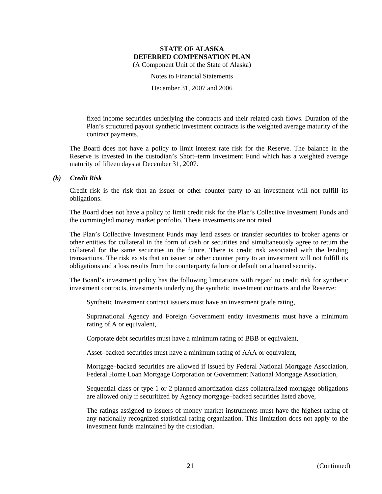Notes to Financial Statements

December 31, 2007 and 2006

fixed income securities underlying the contracts and their related cash flows. Duration of the Plan's structured payout synthetic investment contracts is the weighted average maturity of the contract payments.

The Board does not have a policy to limit interest rate risk for the Reserve. The balance in the Reserve is invested in the custodian's Short–term Investment Fund which has a weighted average maturity of fifteen days at December 31, 2007.

### *(b) Credit Risk*

Credit risk is the risk that an issuer or other counter party to an investment will not fulfill its obligations.

The Board does not have a policy to limit credit risk for the Plan's Collective Investment Funds and the commingled money market portfolio. These investments are not rated.

The Plan's Collective Investment Funds may lend assets or transfer securities to broker agents or other entities for collateral in the form of cash or securities and simultaneously agree to return the collateral for the same securities in the future. There is credit risk associated with the lending transactions. The risk exists that an issuer or other counter party to an investment will not fulfill its obligations and a loss results from the counterparty failure or default on a loaned security.

The Board's investment policy has the following limitations with regard to credit risk for synthetic investment contracts, investments underlying the synthetic investment contracts and the Reserve:

Synthetic Investment contract issuers must have an investment grade rating,

Supranational Agency and Foreign Government entity investments must have a minimum rating of A or equivalent,

Corporate debt securities must have a minimum rating of BBB or equivalent,

Asset–backed securities must have a minimum rating of AAA or equivalent,

Mortgage–backed securities are allowed if issued by Federal National Mortgage Association, Federal Home Loan Mortgage Corporation or Government National Mortgage Association,

Sequential class or type 1 or 2 planned amortization class collateralized mortgage obligations are allowed only if securitized by Agency mortgage–backed securities listed above,

The ratings assigned to issuers of money market instruments must have the highest rating of any nationally recognized statistical rating organization. This limitation does not apply to the investment funds maintained by the custodian.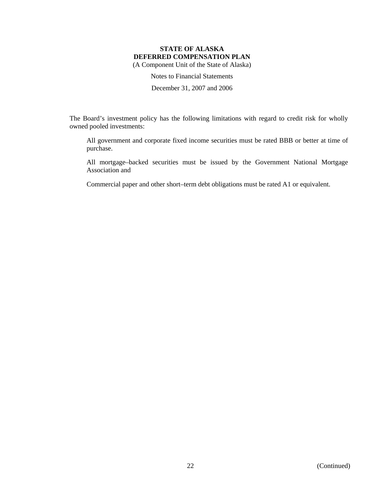Notes to Financial Statements

December 31, 2007 and 2006

The Board's investment policy has the following limitations with regard to credit risk for wholly owned pooled investments:

All government and corporate fixed income securities must be rated BBB or better at time of purchase.

All mortgage–backed securities must be issued by the Government National Mortgage Association and

Commercial paper and other short–term debt obligations must be rated A1 or equivalent.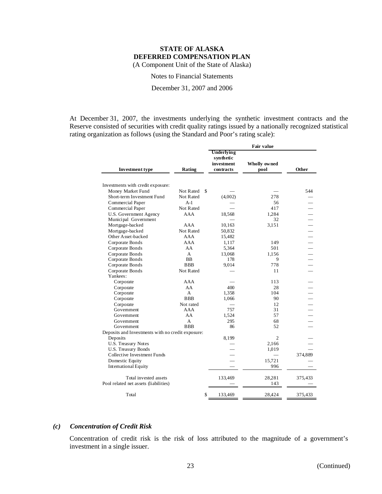Notes to Financial Statements

December 31, 2007 and 2006

At December 31, 2007, the investments underlying the synthetic investment contracts and the Reserve consisted of securities with credit quality ratings issued by a nationally recognized statistical rating organization as follows (using the Standard and Poor's rating scale):

|                                                   | Rating                    | <b>Fair value</b>                                         |                      |         |
|---------------------------------------------------|---------------------------|-----------------------------------------------------------|----------------------|---------|
| <b>Investment type</b>                            |                           | <b>Underlying</b><br>synthetic<br>investment<br>contracts | Wholly owned<br>pool | Other   |
|                                                   |                           |                                                           |                      |         |
| Investments with credit exposure:                 |                           |                                                           |                      |         |
| Money Market Fund                                 | Not Rated<br>S            |                                                           |                      | 544     |
| Short-term Investment Fund                        | <b>Not Rated</b><br>$A-1$ | (4,002)                                                   | 278<br>56            |         |
| Commercial Paper                                  |                           |                                                           |                      |         |
| Commercial Paper                                  | Not Rated                 |                                                           | 417                  |         |
| U.S. Government Agency<br>Municipal Government    | AAA                       | 18,568                                                    | 1,284<br>32          |         |
| Mortgage-backed                                   | AAA                       | 10,163                                                    | 3,151                |         |
| Mortgage-backed                                   | Not Rated                 | 50,832                                                    |                      |         |
| Other Asset-backed                                | AAA                       |                                                           |                      |         |
| Corporate Bonds                                   | AAA                       | 15,482                                                    |                      |         |
| Corporate Bonds                                   | AA                        | 1,117<br>5,364                                            | 149<br>501           |         |
|                                                   | A                         |                                                           |                      |         |
| Corporate Bonds<br>Corporate Bonds                | <b>BB</b>                 | 13,068<br>178                                             | 1.156<br>9           |         |
| Corporate Bonds                                   | <b>BBB</b>                | 9,014                                                     | 778                  |         |
| Corporate Bonds                                   | <b>Not Rated</b>          |                                                           | 11                   |         |
| Yankees:                                          |                           |                                                           |                      |         |
| Corporate                                         | AAA                       |                                                           | 113                  |         |
| Corporate                                         | AA                        | 400                                                       | 28                   |         |
| Corporate                                         | A                         | 1,358                                                     | 104                  |         |
| Corporate                                         | <b>BBB</b>                | 1,066                                                     | 90                   |         |
| Corporate                                         | Not rated                 |                                                           | 12                   |         |
| Government                                        | AAA                       | 757                                                       | 31                   |         |
| Government                                        | AA                        | 1,524                                                     | 57                   |         |
| Government                                        | A                         | 295                                                       | 68                   |         |
| Government                                        | <b>BBB</b>                | 86                                                        | 52                   |         |
| Deposits and Investments with no credit exposure: |                           |                                                           |                      |         |
| Deposits                                          |                           | 8,199                                                     | 2                    |         |
| U.S. Treasury Notes                               |                           |                                                           | 2,166                |         |
| <b>U.S. Treasury Bonds</b>                        |                           |                                                           | 1,019                |         |
| Collective Investment Funds                       |                           |                                                           |                      | 374,889 |
| Domestic Equity                                   |                           | $\overline{\phantom{a}}$                                  | 15,721               |         |
| <b>International Equity</b>                       |                           |                                                           | 996                  |         |
| Total invested assets                             |                           | 133,469                                                   | 28,281               | 375,433 |
| Pool related net assets (liabilities)             |                           |                                                           | 143                  |         |
| Total                                             | \$                        | 133,469                                                   | 28,424               | 375,433 |

### *(c) Concentration of Credit Risk*

Concentration of credit risk is the risk of loss attributed to the magnitude of a government's investment in a single issuer.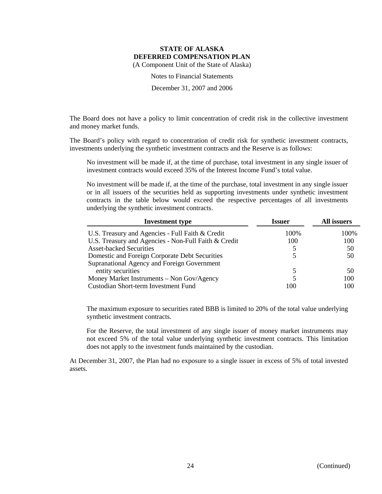Notes to Financial Statements

December 31, 2007 and 2006

The Board does not have a policy to limit concentration of credit risk in the collective investment and money market funds.

The Board's policy with regard to concentration of credit risk for synthetic investment contracts, investments underlying the synthetic investment contracts and the Reserve is as follows:

No investment will be made if, at the time of purchase, total investment in any single issuer of investment contracts would exceed 35% of the Interest Income Fund's total value.

No investment will be made if, at the time of the purchase, total investment in any single issuer or in all issuers of the securities held as supporting investments under synthetic investment contracts in the table below would exceed the respective percentages of all investments underlying the synthetic investment contracts.

| <b>Investment</b> type                               | <b>Issuer</b> | All issuers |
|------------------------------------------------------|---------------|-------------|
| U.S. Treasury and Agencies - Full Faith & Credit     | 100%          | 100%        |
| U.S. Treasury and Agencies - Non-Full Faith & Credit | 100           | 100         |
| <b>Asset-backed Securities</b>                       |               | 50          |
| Domestic and Foreign Corporate Debt Securities       |               | 50          |
| Supranational Agency and Foreign Government          |               |             |
| entity securities                                    |               | 50          |
| Money Market Instruments - Non Gov/Agency            |               | 100         |
| Custodian Short-term Investment Fund                 | 100           | 100         |

The maximum exposure to securities rated BBB is limited to 20% of the total value underlying synthetic investment contracts.

For the Reserve, the total investment of any single issuer of money market instruments may not exceed 5% of the total value underlying synthetic investment contracts. This limitation does not apply to the investment funds maintained by the custodian.

At December 31, 2007, the Plan had no exposure to a single issuer in excess of 5% of total invested assets.